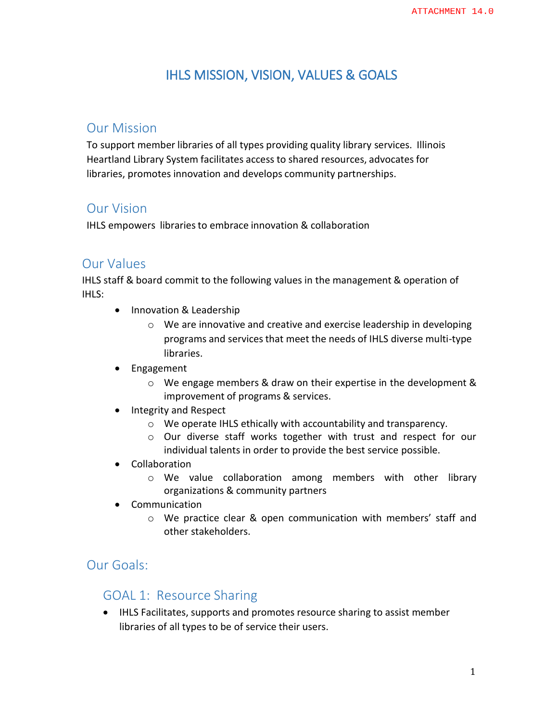# IHLS MISSION, VISION, VALUES & GOALS

### Our Mission

To support member libraries of all types providing quality library services. Illinois Heartland Library System facilitates access to shared resources, advocates for libraries, promotes innovation and develops community partnerships.

## Our Vision

IHLS empowers libraries to embrace innovation & collaboration

#### Our Values

IHLS staff & board commit to the following values in the management & operation of IHLS:

- Innovation & Leadership
	- o We are innovative and creative and exercise leadership in developing programs and servicesthat meet the needs of IHLS diverse multi-type libraries.
- Engagement
	- o We engage members & draw on their expertise in the development & improvement of programs & services.
- Integrity and Respect
	- o We operate IHLS ethically with accountability and transparency.
	- o Our diverse staff works together with trust and respect for our individual talents in order to provide the best service possible.
- Collaboration
	- o We value collaboration among members with other library organizations & community partners
- Communication
	- o We practice clear & open communication with members' staff and other stakeholders.

## Our Goals:

#### GOAL 1: Resource Sharing

 IHLS Facilitates, supports and promotes resource sharing to assist member libraries of all types to be of service their users.